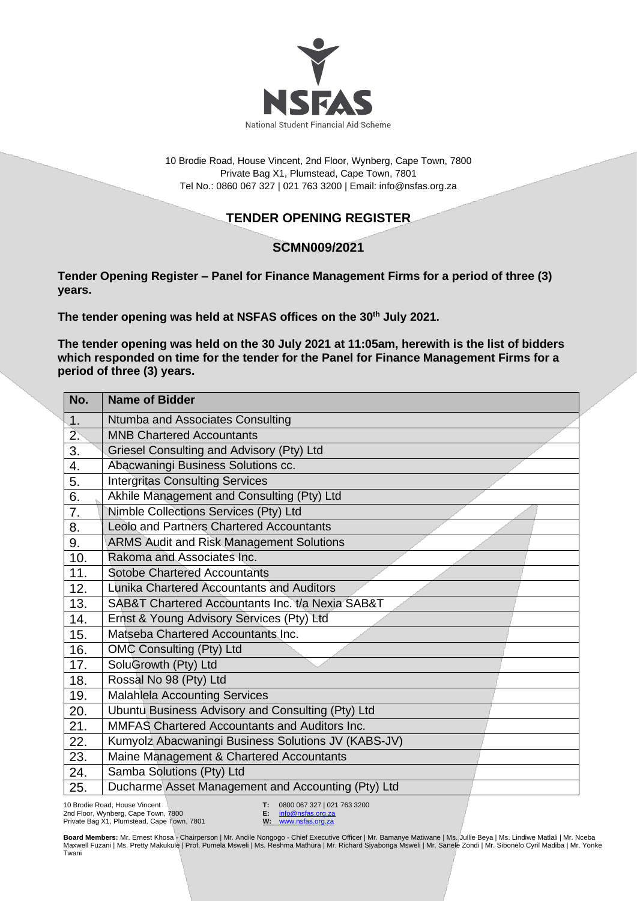

10 Brodie Road, House Vincent, 2nd Floor, Wynberg, Cape Town, 7800 Private Bag X1, Plumstead, Cape Town, 7801 Tel No.: 0860 067 327 | 021 763 3200 | Email[: info@nsfas.org.za](mailto:info@nsfas.org.za)

## **TENDER OPENING REGISTER**

## **SCMN009/2021**

**Tender Opening Register – Panel for Finance Management Firms for a period of three (3) years.**

**The tender opening was held at NSFAS offices on the 30th July 2021.**

**The tender opening was held on the 30 July 2021 at 11:05am, herewith is the list of bidders**  which responded on time for the tender for the Panel for Finance Management Firms for a **period of three (3) years.**

| No. | <b>Name of Bidder</b>                               |
|-----|-----------------------------------------------------|
| 1.  | Ntumba and Associates Consulting                    |
| 2.  | <b>MNB Chartered Accountants</b>                    |
| 3.  | Griesel Consulting and Advisory (Pty) Ltd           |
| 4.  | Abacwaningi Business Solutions cc.                  |
| 5.  | <b>Intergritas Consulting Services</b>              |
| 6.  | Akhile Management and Consulting (Pty) Ltd          |
| 7.  | Nimble Collections Services (Pty) Ltd               |
| 8.  | <b>Leolo and Partners Chartered Accountants</b>     |
| 9.  | <b>ARMS Audit and Risk Management Solutions</b>     |
| 10. | Rakoma and Associates Inc.                          |
| 11. | <b>Sotobe Chartered Accountants</b>                 |
| 12. | Lunika Chartered Accountants and Auditors           |
| 13. | SAB&T Chartered Accountants Inc. t/a Nexia SAB&T    |
| 14. | Ernst & Young Advisory Services (Pty) Ltd           |
| 15. | Matseba Chartered Accountants Inc.                  |
| 16. | OMC Consulting (Pty) Ltd                            |
| 17. | SoluGrowth (Pty) Ltd                                |
| 18. | Rossal No 98 (Pty) Ltd                              |
| 19. | <b>Malahlela Accounting Services</b>                |
| 20. | Ubuntu Business Advisory and Consulting (Pty) Ltd   |
| 21. | MMFAS Chartered Accountants and Auditors Inc.       |
| 22. | Kumyolz Abacwaningi Business Solutions JV (KABS-JV) |
| 23. | Maine Management & Chartered Accountants            |
| 24. | Samba Solutions (Pty) Ltd                           |
| 25. | Ducharme Asset Management and Accounting (Pty) Ltd  |

10 Brodie Road, House Vincent 2nd Floor, Wynberg, Cape Town, 7800 Private Bag X1, Plumstead, Cape Town, 7801 **T:** 0800 067 327 | 021 763 3200<br>**E:** info@nsfas.org.za **E:** [info@nsfas.org.za](mailto:info@nsfas.org.za)

**W:** [www.nsfas.org.za](http://www.nsfas.org.za/)

**Board Members:** Mr. Ernest Khosa - Chairperson | Mr. Andile Nongogo - Chief Executive Officer | Mr. Bamanye Matiwane | Ms. Jullie Beya | Ms. Lindiwe Matlali | Mr. Nceba Maxwell Fuzani | Ms. Pretty Makukule | Prof. Pumela Msweli | Ms. Reshma Mathura | Mr. Richard Siyabonga Msweli | Mr. Sanele Zondi | Mr. Sibonelo Cyril Madiba | Mr. Yonke<br>Twani